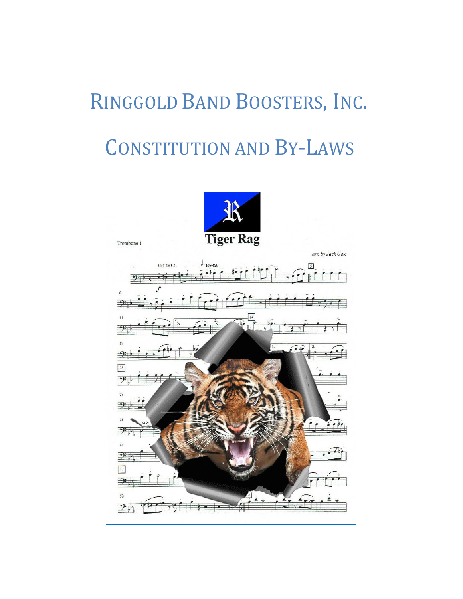# RINGGOLD BAND BOOSTERS, INC.

# CONSTITUTION AND BY-LAWS

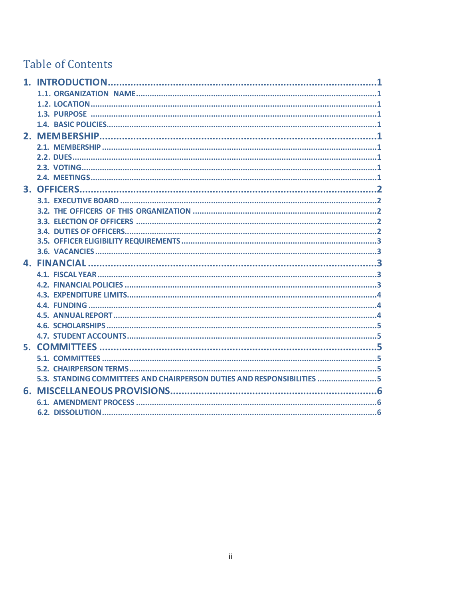# **Table of Contents**

| 1. INTRODUCTION.                                                       |
|------------------------------------------------------------------------|
|                                                                        |
|                                                                        |
|                                                                        |
|                                                                        |
|                                                                        |
|                                                                        |
|                                                                        |
|                                                                        |
|                                                                        |
|                                                                        |
|                                                                        |
|                                                                        |
|                                                                        |
|                                                                        |
|                                                                        |
|                                                                        |
|                                                                        |
|                                                                        |
|                                                                        |
|                                                                        |
|                                                                        |
|                                                                        |
|                                                                        |
|                                                                        |
|                                                                        |
|                                                                        |
|                                                                        |
| 5.3. STANDING COMMITTEES AND CHAIRPERSON DUTIES AND RESPONSIBILITIES 5 |
|                                                                        |
|                                                                        |
|                                                                        |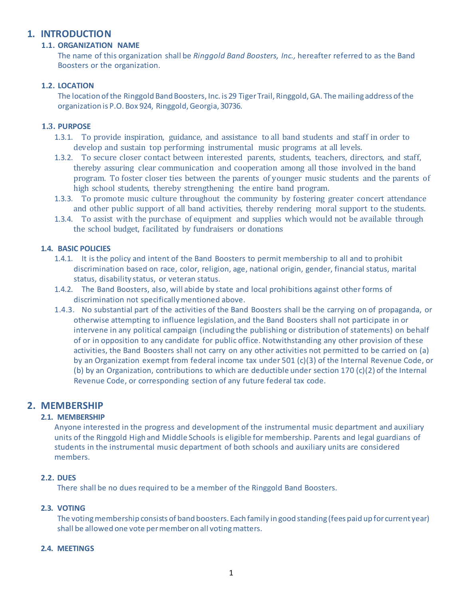# **1. INTRODUCTION**

# **1.1. ORGANIZATION NAME**

The name of this organization shall be *Ringgold Band Boosters, Inc.,* hereafter referred to as the Band Boosters or the organization.

# **1.2. LOCATION**

The location of the Ringgold Band Boosters, Inc. is 29 Tiger Trail, Ringgold, GA. The mailing address of the organization is P.O. Box 924, Ringgold, Georgia, 30736.

# **1.3. PURPOSE**

- 1.3.1. To provide inspiration, guidance, and assistance to all band students and staff in order to develop and sustain top performing instrumental music programs at all levels.
- 1.3.2. To secure closer contact between interested parents, students, teachers, directors, and staff, thereby assuring clear communication and cooperation among all those involved in the band program. To foster closer ties between the parents of younger music students and the parents of high school students, thereby strengthening the entire band program.
- 1.3.3. To promote music culture throughout the community by fostering greater concert attendance and other public support of all band activities, thereby rendering moral support to the students.
- 1.3.4. To assist with the purchase of equipment and supplies which would not be available through the school budget, facilitated by fundraisers or donations

# **1.4. BASIC POLICIES**

- 1.4.1. It is the policy and intent of the Band Boosters to permit membership to all and to prohibit discrimination based on race, color, religion, age, national origin, gender, financial status, marital status, disability status, or veteran status.
- 1.4.2. The Band Boosters, also, will abide by state and local prohibitions against other forms of discrimination not specificallymentioned above.
- 1.4.3. No substantial part of the activities of the Band Boosters shall be the carrying on of propaganda, or otherwise attempting to influence legislation, and the Band Boosters shall not participate in or intervene in any political campaign (including the publishing or distribution of statements) on behalf of or in opposition to any candidate for public office. Notwithstanding any other provision of these activities, the Band Boosters shall not carry on any other activities not permitted to be carried on (a) by an Organization exempt from federal income tax under 501 (c)(3) of the Internal Revenue Code, or (b) by an Organization, contributions to which are deductible under section 170 (c)(2) of the Internal Revenue Code, or corresponding section of any future federal tax code.

# **2. MEMBERSHIP**

# **2.1. MEMBERSHIP**

Anyone interested in the progress and development of the instrumental music department and auxiliary units of the Ringgold High and Middle Schools is eligible for membership. Parents and legal guardians of students in the instrumental music department of both schools and auxiliary units are considered members.

# **2.2. DUES**

There shall be no dues required to be a member of the Ringgold Band Boosters.

# **2.3. VOTING**

The voting membership consists of band boosters. Each family in good standing (fees paid up for current year) shall be allowed one vote per member on all voting matters.

#### **2.4. MEETINGS**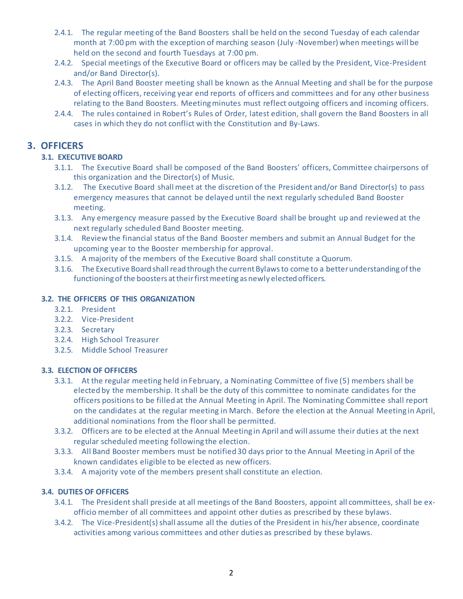- 2.4.1. The regular meeting of the Band Boosters shall be held on the second Tuesday of each calendar month at 7:00 pm with the exception of marching season (July -November) when meetings will be held on the second and fourth Tuesdays at 7:00 pm.
- 2.4.2. Special meetings of the Executive Board or officers may be called by the President, Vice-President and/or Band Director(s).
- 2.4.3. The April Band Booster meeting shall be known as the Annual Meeting and shall be for the purpose of electing officers, receiving year end reports of officers and committees and for any other business relating to the Band Boosters. Meetingminutes must reflect outgoing officers and incoming officers.
- 2.4.4. The rules contained in Robert's Rules of Order, latest edition, shall govern the Band Boosters in all cases in which they do not conflict with the Constitution and By-Laws.

# **3. OFFICERS**

# **3.1. EXECUTIVE BOARD**

- 3.1.1. The Executive Board shall be composed of the Band Boosters' officers, Committee chairpersons of this organization and the Director(s) of Music.
- 3.1.2. The Executive Board shall meet at the discretion of the President and/or Band Director(s) to pass emergency measures that cannot be delayed until the next regularly scheduled Band Booster meeting.
- 3.1.3. Any emergency measure passed by the Executive Board shall be brought up and reviewed at the next regularly scheduled Band Booster meeting.
- 3.1.4. Review the financial status of the Band Booster members and submit an Annual Budget for the upcoming year to the Booster membership for approval.
- 3.1.5. A majority of the members of the Executive Board shall constitute a Quorum.
- 3.1.6. The Executive Board shall read through the current Bylaws to come to a better understanding of the functioning of the boosters at their first meeting as newly elected officers.

# **3.2. THE OFFICERS OF THIS ORGANIZATION**

- 3.2.1. President
- 3.2.2. Vice-President
- 3.2.3. Secretary
- 3.2.4. High School Treasurer
- 3.2.5. Middle School Treasurer

# **3.3. ELECTION OF OFFICERS**

- 3.3.1. At the regular meeting held in February, a Nominating Committee of five (5) members shall be elected by the membership. It shall be the duty of this committee to nominate candidates for the officers positions to be filled at the Annual Meeting in April. The Nominating Committee shall report on the candidates at the regular meeting in March. Before the election at the Annual Meeting in April, additional nominations from the floorshall be permitted.
- 3.3.2. Officers are to be elected at the Annual Meeting in April and will assume their duties at the next regular scheduled meeting following the election.
- 3.3.3. All Band Booster members must be notified 30 days prior to the Annual Meeting in April of the known candidates eligible to be elected as new officers.
- 3.3.4. A majority vote of the members present shall constitute an election.

# **3.4. DUTIES OF OFFICERS**

- 3.4.1. The President shall preside at all meetings of the Band Boosters, appoint all committees, shall be exofficio member of all committees and appoint other duties as prescribed by these bylaws.
- 3.4.2. The Vice-President(s) shall assume all the duties of the President in his/her absence, coordinate activities among various committees and other duties as prescribed by these bylaws.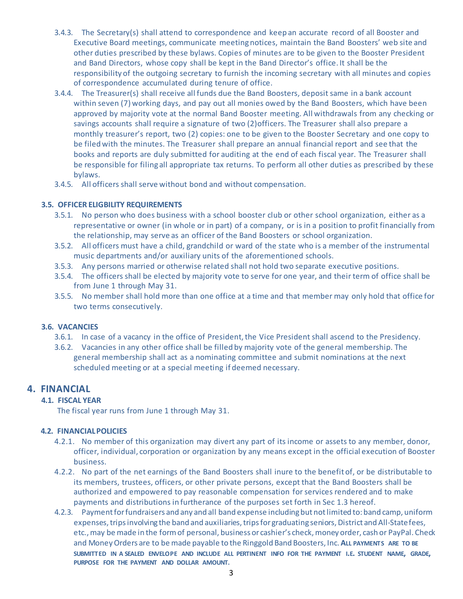- 3.4.3. The Secretary(s) shall attend to correspondence and keep an accurate record of all Booster and Executive Board meetings, communicate meetingnotices, maintain the Band Boosters' web site and other duties prescribed by these bylaws. Copies of minutes are to be given to the Booster President and Band Directors, whose copy shall be kept in the Band Director's office. It shall be the responsibility of the outgoing secretary to furnish the incoming secretary with all minutes and copies of correspondence accumulated during tenure of office.
- 3.4.4. The Treasurer(s) shall receive all funds due the Band Boosters, deposit same in a bank account within seven (7) working days, and pay out all monies owed by the Band Boosters, which have been approved by majority vote at the normal Band Booster meeting. All withdrawals from any checking or savings accounts shall require a signature of two (2)officers. The Treasurer shall also prepare a monthly treasurer's report, two (2) copies: one to be given to the Booster Secretary and one copy to be filed with the minutes. The Treasurer shall prepare an annual financial report and see that the books and reports are duly submitted for auditing at the end of each fiscal year. The Treasurer shall be responsible for filing all appropriate tax returns. To perform all other duties as prescribed by these bylaws.
- 3.4.5. All officers shall serve without bond and without compensation.

# **3.5. OFFICER ELIGBILITY REQUIREMENTS**

- 3.5.1. No person who does business with a school booster club or other school organization, either as a representative or owner (in whole or in part) of a company, or is in a position to profit financially from the relationship, may serve as an officer of the Band Boosters or school organization.
- 3.5.2. All officers must have a child, grandchild or ward of the state who is a member of the instrumental music departments and/or auxiliary units of the aforementioned schools.
- 3.5.3. Any persons married or otherwise related shall not hold two separate executive positions.
- 3.5.4. The officers shall be elected by majority vote to serve for one year, and their term of office shall be from June 1 through May 31.
- 3.5.5. No member shall hold more than one office at a time and that member may only hold that office for two terms consecutively.

#### **3.6. VACANCIES**

- 3.6.1. In case of a vacancy in the office of President, the Vice President shall ascend to the Presidency.
- 3.6.2. Vacancies in any other office shall be filled by majority vote of the general membership. The general membership shall act as a nominating committee and submit nominations at the next scheduled meeting or at a special meeting if deemed necessary.

# **4. FINANCIAL**

# **4.1. FISCAL YEAR**

The fiscal year runs from June 1 through May 31.

#### **4.2. FINANCIAL POLICIES**

- 4.2.1. No member of this organization may divert any part of its income or assets to any member, donor, officer, individual, corporation or organization by any means except in the official execution of Booster business.
- 4.2.2. No part of the net earnings of the Band Boosters shall inure to the benefit of, or be distributable to its members, trustees, officers, or other private persons, except that the Band Boosters shall be authorized and empowered to pay reasonable compensation forservices rendered and to make payments and distributions in furtherance of the purposes set forth in Sec 1.3 hereof.
- 4.2.3. Payment for fundraisers and any and all band expense including but not limited to: band camp, uniform expenses, trips involving the band and auxiliaries, trips for graduating seniors, District and All-Statefees, etc.,may be made in the form of personal, business or cashier's check, money order, cash or PayPal. Check and Money Orders are to be made payable to the Ringgold Band Boosters, Inc.**ALL PAYMENTS ARE TO BE SUBMITTED IN A SEALED ENVELOPE AND INCLUDE ALL PERTINENT INFO FOR THE PAYMENT I.E. STUDENT NAME, GRADE, PURPOSE FOR THE PAYMENT AND DOLLAR AMOUNT.**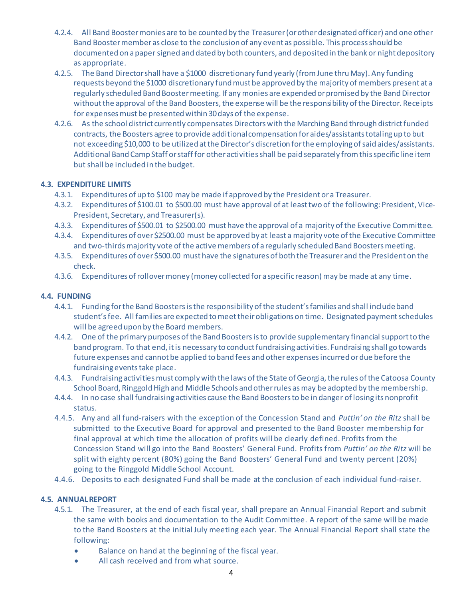- 4.2.4. All Band Booster monies are to be counted by the Treasurer (or other designated officer) and one other Band Booster member as close to the conclusion of any event as possible. This process should be documented on a paper signed and dated by both counters, and deposited in the bank or night depository as appropriate.
- 4.2.5. The Band Director shall have a \$1000 discretionary fund yearly (from June thru May). Any funding requests beyond the \$1000 discretionary fund must be approved by the majority of members present at a regularly scheduled Band Booster meeting. If any monies are expended or promised by the Band Director without the approval of the Band Boosters, the expense will be the responsibility of the Director. Receipts for expenses must be presented within 30 days of the expense.
- 4.2.6. As the school district currently compensates Directors with the Marching Band through district funded contracts, the Boosters agree to provide additional compensation for aides/assistants totaling up to but not exceeding \$10,000 to be utilized at the Director's discretion for the employing of said aides/assistants. Additional Band Camp Staff or staff for other activities shall be paid separately from this specific line item but shall be included in the budget.

# **4.3. EXPENDITURE LIMITS**

- 4.3.1. Expenditures of up to \$100 may be made if approved by the President or a Treasurer.
- 4.3.2. Expenditures of \$100.01 to \$500.00 must have approval of at least two of the following: President, Vice-President, Secretary, and Treasurer(s).
- 4.3.3. Expenditures of \$500.01 to \$2500.00 must have the approval of a majority of the Executive Committee.
- 4.3.4. Expenditures of over \$2500.00 must be approved by at least a majority vote of the Executive Committee and two-thirds majority vote of the active members of a regularly scheduled Band Boosters meeting.
- 4.3.5. Expenditures of over \$500.00 must have the signatures of both the Treasurer and the President on the check.
- 4.3.6. Expenditures of rollover money (money collected for a specific reason) may be made at any time.

#### **4.4. FUNDING**

- 4.4.1. Funding for the Band Boosters is the responsibility of the student's families and shall include band student's fee. All families are expected to meet their obligations on time. Designated payment schedules will be agreed upon by the Board members.
- 4.4.2. One of the primary purposes of the Band Boosters is to provide supplementary financial support to the band program. To that end, it is necessary to conduct fundraising activities. Fundraising shall go towards future expenses and cannot be applied to band fees and other expenses incurred or due before the fundraising events take place.
- 4.4.3. Fundraising activities must comply with the laws of the State of Georgia, the rules of the Catoosa County School Board, Ringgold High and Middle Schools and other rules as may be adopted by the membership.
- 4.4.4. In no case shall fundraising activities cause the Band Boosters to be in danger of losing its nonprofit status.
- 4.4.5. Any and all fund-raisers with the exception of the Concession Stand and *Puttin' on the Ritz* shall be submitted to the Executive Board for approval and presented to the Band Booster membership for final approval at which time the allocation of profits will be clearly defined. Profits from the Concession Stand will go into the Band Boosters' General Fund. Profits from *Puttin' on the Ritz* will be split with eighty percent (80%) going the Band Boosters' General Fund and twenty percent (20%) going to the Ringgold Middle School Account.
- 4.4.6. Deposits to each designated Fund shall be made at the conclusion of each individual fund-raiser.

#### **4.5. ANNUAL REPORT**

- 4.5.1. The Treasurer, at the end of each fiscal year, shall prepare an Annual Financial Report and submit the same with books and documentation to the Audit Committee. A report of the same will be made to the Band Boosters at the initial July meeting each year. The Annual Financial Report shall state the following:
	- Balance on hand at the beginning of the fiscal year.
	- All cash received and from what source.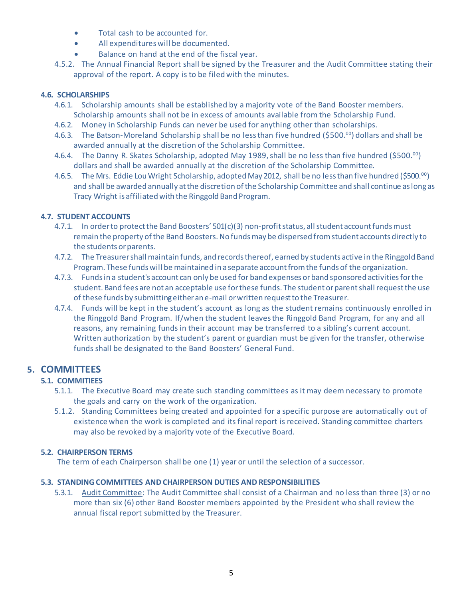- Total cash to be accounted for.
- All expenditureswill be documented.
- Balance on hand at the end of the fiscal year.
- 4.5.2. The Annual Financial Report shall be signed by the Treasurer and the Audit Committee stating their approval of the report. A copy is to be filedwith the minutes.

### **4.6. SCHOLARSHIPS**

- 4.6.1. Scholarship amounts shall be established by a majority vote of the Band Booster members. Scholarship amounts shall not be in excess of amounts available from the Scholarship Fund.
- 4.6.2. Money in Scholarship Funds can never be used for anything other than scholarships.
- 4.6.3. The Batson-Moreland Scholarship shall be no less than five hundred (\$500.<sup>00</sup>) dollars and shall be awarded annually at the discretion of the Scholarship Committee.
- 4.6.4. The Danny R. Skates Scholarship, adopted May 1989, shall be no less than five hundred (\$500.00) dollars and shall be awarded annually at the discretion of the Scholarship Committee.
- 4.6.5. The Mrs. Eddie Lou Wright Scholarship, adopted May 2012, shall be no less than five hundred (\$500.<sup>00</sup>) and shall be awarded annually at the discretion of the Scholarship Committee and shall continue as long as Tracy Wright is affiliatedwith the Ringgold Band Program.

# **4.7. STUDENT ACCOUNTS**

- 4.7.1. In order to protect the Band Boosters' 501(c)(3) non-profit status, all student account funds must remain the property of the Band Boosters. No funds may be dispersed from student accounts directly to the students or parents.
- 4.7.2. The Treasurer shall maintain funds, and records thereof, earned by students active in the Ringgold Band Program. These funds will be maintained in a separate account from the funds of the organization.
- 4.7.3. Funds in a student's account can only be used for band expenses or band sponsored activities for the student. Band fees are not an acceptable use for these funds. The student or parent shall request the use of these funds by submitting either an e-mail or written request to the Treasurer.
- 4.7.4. Funds will be kept in the student's account as long as the student remains continuously enrolled in the Ringgold Band Program. If/when the student leaves the Ringgold Band Program, for any and all reasons, any remaining funds in their account may be transferred to a sibling's current account. Written authorization by the student's parent or guardian must be given for the transfer, otherwise funds shall be designated to the Band Boosters' General Fund.

# **5. COMMITTEES**

# **5.1. COMMITIEES**

- 5.1.1. The Executive Board may create such standing committees as it may deem necessary to promote the goals and carry on the work of the organization.
- 5.1.2. Standing Committees being created and appointed for a specific purpose are automatically out of existence when the work is completed and its final report is received. Standing committee charters may also be revoked by a majority vote of the Executive Board.

# **5.2. CHAIRPERSON TERMS**

The term of each Chairperson shall be one (1) year or until the selection of a successor.

#### **5.3. STANDING COMMITTEES AND CHAIRPERSON DUTIES AND RESPONSIBILITIES**

5.3.1. Audit Committee: The Audit Committee shall consist of a Chairman and no less than three (3) or no more than six (6) other Band Booster members appointed by the President who shall review the annual fiscal report submitted by the Treasurer.